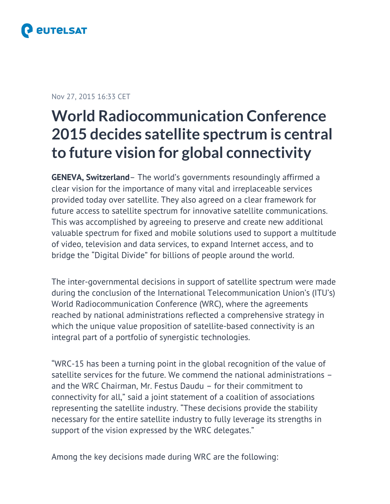

### Nov 27, 2015 16:33 CET

# **World Radiocommunication Conference 2015 decides satellite spectrum is central to future vision for global connectivity**

**GENEVA, Switzerland**– The world's governments resoundingly affirmed a clear vision for the importance of many vital and irreplaceable services provided today over satellite. They also agreed on a clear framework for future access to satellite spectrum for innovative satellite communications. This was accomplished by agreeing to preserve and create new additional valuable spectrum for fixed and mobile solutions used to support a multitude of video, television and data services, to expand Internet access, and to bridge the "Digital Divide" for billions of people around the world.

The inter-governmental decisions in support of satellite spectrum were made during the conclusion of the International Telecommunication Union's (ITU's) World Radiocommunication Conference (WRC), where the agreements reached by national administrations reflected a comprehensive strategy in which the unique value proposition of satellite-based connectivity is an integral part of a portfolio of synergistic technologies.

"WRC-15 has been a turning point in the global recognition of the value of satellite services for the future. We commend the national administrations – and the WRC Chairman, Mr. Festus Daudu – for their commitment to connectivity for all," said a joint statement of a coalition of associations representing the satellite industry. "These decisions provide the stability necessary for the entire satellite industry to fully leverage its strengths in support of the vision expressed by the WRC delegates."

Among the key decisions made during WRC are the following: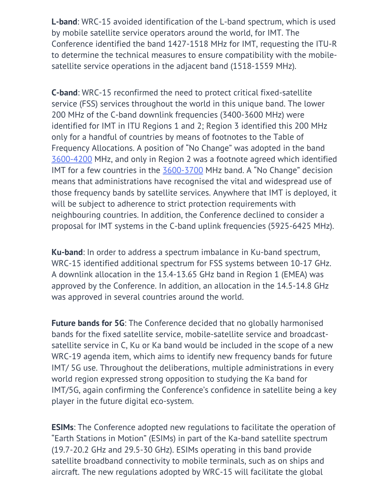**L-band**: WRC-15 avoided identification of the L-band spectrum, which is used by mobile satellite service operators around the world, for IMT. The Conference identified the band 1427-1518 MHz for IMT, requesting the ITU-R to determine the technical measures to ensure compatibility with the mobilesatellite service operations in the adjacent band (1518-1559 MHz).

**C-band**: WRC-15 reconfirmed the need to protect critical fixed-satellite service (FSS) services throughout the world in this unique band. The lower 200 MHz of the C-band downlink frequencies (3400-3600 MHz) were identified for IMT in ITU Regions 1 and 2; Region 3 identified this 200 MHz only for a handful of countries by means of footnotes to the Table of Frequency Allocations. A position of "No Change" was adopted in the band 3600-4200 MHz, and only in Region 2 was a footnote agreed which identified IMT for a few countries in the 3600-3700 MHz band. A "No Change" decision means that administrations have recognised the vital and widespread use of those frequency bands by satellite services. Anywhere that IMT is deployed, it will be subject to adherence to strict protection requirements with neighbouring countries. In addition, the Conference declined to consider a proposal for IMT systems in the C-band uplink frequencies (5925-6425 MHz).

**Ku-band**: In order to address a spectrum imbalance in Ku-band spectrum, WRC-15 identified additional spectrum for FSS systems between 10-17 GHz. A downlink allocation in the 13.4-13.65 GHz band in Region 1 (EMEA) was approved by the Conference. In addition, an allocation in the 14.5-14.8 GHz was approved in several countries around the world.

**Future bands for 5G**: The Conference decided that no globally harmonised bands for the fixed satellite service, mobile-satellite service and broadcastsatellite service in C, Ku or Ka band would be included in the scope of a new WRC-19 agenda item, which aims to identify new frequency bands for future IMT/ 5G use. Throughout the deliberations, multiple administrations in every world region expressed strong opposition to studying the Ka band for IMT/5G, again confirming the Conference's confidence in satellite being a key player in the future digital eco-system.

**ESIMs**: The Conference adopted new regulations to facilitate the operation of "Earth Stations in Motion" (ESIMs) in part of the Ka-band satellite spectrum (19.7-20.2 GHz and 29.5-30 GHz). ESIMs operating in this band provide satellite broadband connectivity to mobile terminals, such as on ships and aircraft. The new regulations adopted by WRC-15 will facilitate the global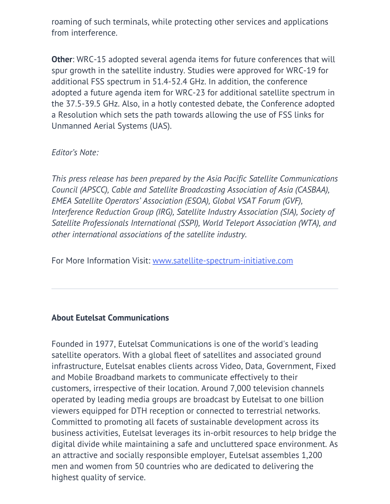roaming of such terminals, while protecting other services and applications from interference.

**Other**: WRC-15 adopted several agenda items for future conferences that will spur growth in the satellite industry. Studies were approved for WRC-19 for additional FSS spectrum in 51.4-52.4 GHz. In addition, the conference adopted a future agenda item for WRC-23 for additional satellite spectrum in the 37.5-39.5 GHz. Also, in a hotly contested debate, the Conference adopted a Resolution which sets the path towards allowing the use of FSS links for Unmanned Aerial Systems (UAS).

*Editor's Note:*

*This press release has been prepared by the Asia Pacific Satellite Communications Council (APSCC), Cable and Satellite Broadcasting Association of Asia (CASBAA), EMEA Satellite Operators' Association (ESOA), Global VSAT Forum (GVF), Interference Reduction Group (IRG), Satellite Industry Association (SIA), Society of Satellite Professionals International (SSPI), World Teleport Association (WTA), and other international associations of the satellite industry.*

For More Information Visit: [www.satellite-spectrum-initiative.com](http://www.satellite-spectrum-initiative.com)

## **About Eutelsat Communications**

Founded in 1977, Eutelsat Communications is one of the world's leading satellite operators. With a global fleet of satellites and associated ground infrastructure, Eutelsat enables clients across Video, Data, Government, Fixed and Mobile Broadband markets to communicate effectively to their customers, irrespective of their location. Around 7,000 television channels operated by leading media groups are broadcast by Eutelsat to one billion viewers equipped for DTH reception or connected to terrestrial networks. Committed to promoting all facets of sustainable development across its business activities, Eutelsat leverages its in-orbit resources to help bridge the digital divide while maintaining a safe and uncluttered space environment. As an attractive and socially responsible employer, Eutelsat assembles 1,200 men and women from 50 countries who are dedicated to delivering the highest quality of service.